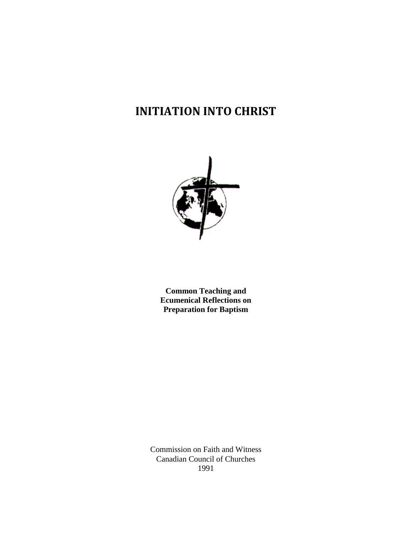# **INITIATION INTO CHRIST**



**Common Teaching and Ecumenical Reflections on Preparation for Baptism**

Commission on Faith and Witness Canadian Council of Churches 1991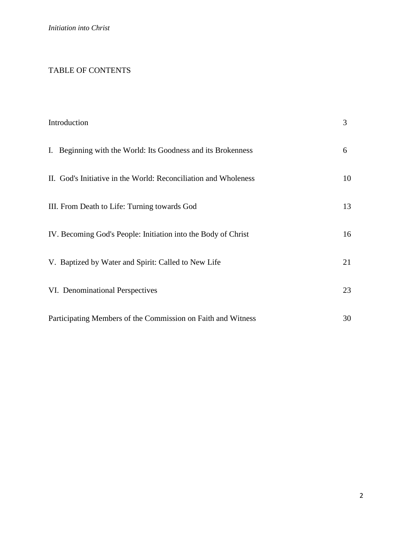## TABLE OF CONTENTS

| Introduction |                                                                 | 3  |
|--------------|-----------------------------------------------------------------|----|
|              | I. Beginning with the World: Its Goodness and its Brokenness    | 6  |
|              | II. God's Initiative in the World: Reconciliation and Wholeness | 10 |
|              | III. From Death to Life: Turning towards God                    | 13 |
|              | IV. Becoming God's People: Initiation into the Body of Christ   | 16 |
|              | V. Baptized by Water and Spirit: Called to New Life             | 21 |
|              | VI. Denominational Perspectives                                 | 23 |
|              | Participating Members of the Commission on Faith and Witness    | 30 |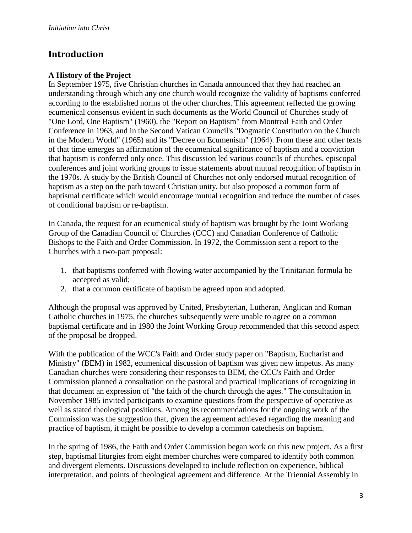# **Introduction**

## **A History of the Project**

In September 1975, five Christian churches in Canada announced that they had reached an understanding through which any one church would recognize the validity of baptisms conferred according to the established norms of the other churches. This agreement reflected the growing ecumenical consensus evident in such documents as the World Council of Churches study of "One Lord, One Baptism" (1960), the "Report on Baptism" from Montreal Faith and Order Conference in 1963, and in the Second Vatican Council's "Dogmatic Constitution on the Church in the Modern World" (1965) and its "Decree on Ecumenism" (1964). From these and other texts of that time emerges an affirmation of the ecumenical significance of baptism and a conviction that baptism is conferred only once. This discussion led various councils of churches, episcopal conferences and joint working groups to issue statements about mutual recognition of baptism in the 1970s. A study by the British Council of Churches not only endorsed mutual recognition of baptism as a step on the path toward Christian unity, but also proposed a common form of baptismal certificate which would encourage mutual recognition and reduce the number of cases of conditional baptism or re-baptism.

In Canada, the request for an ecumenical study of baptism was brought by the Joint Working Group of the Canadian Council of Churches (CCC) and Canadian Conference of Catholic Bishops to the Faith and Order Commission. In 1972, the Commission sent a report to the Churches with a two-part proposal:

- 1. that baptisms conferred with flowing water accompanied by the Trinitarian formula be accepted as valid;
- 2. that a common certificate of baptism be agreed upon and adopted.

Although the proposal was approved by United, Presbyterian, Lutheran, Anglican and Roman Catholic churches in 1975, the churches subsequently were unable to agree on a common baptismal certificate and in 1980 the Joint Working Group recommended that this second aspect of the proposal be dropped.

With the publication of the WCC's Faith and Order study paper on "Baptism, Eucharist and Ministry" (BEM) in 1982, ecumenical discussion of baptism was given new impetus. As many Canadian churches were considering their responses to BEM, the CCC's Faith and Order Commission planned a consultation on the pastoral and practical implications of recognizing in that document an expression of "the faith of the church through the ages." The consultation in November 1985 invited participants to examine questions from the perspective of operative as well as stated theological positions. Among its recommendations for the ongoing work of the Commission was the suggestion that, given the agreement achieved regarding the meaning and practice of baptism, it might be possible to develop a common catechesis on baptism.

In the spring of 1986, the Faith and Order Commission began work on this new project. As a first step, baptismal liturgies from eight member churches were compared to identify both common and divergent elements. Discussions developed to include reflection on experience, biblical interpretation, and points of theological agreement and difference. At the Triennial Assembly in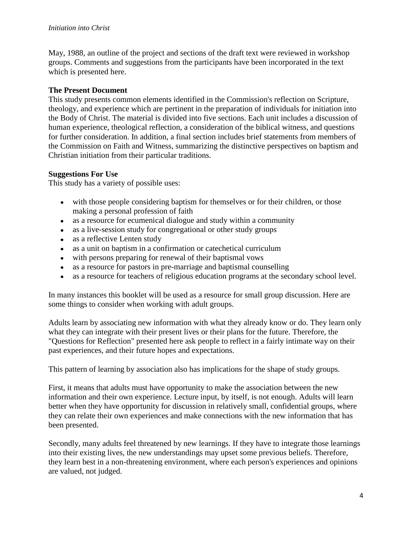May, 1988, an outline of the project and sections of the draft text were reviewed in workshop groups. Comments and suggestions from the participants have been incorporated in the text which is presented here.

#### **The Present Document**

This study presents common elements identified in the Commission's reflection on Scripture, theology, and experience which are pertinent in the preparation of individuals for initiation into the Body of Christ. The material is divided into five sections. Each unit includes a discussion of human experience, theological reflection, a consideration of the biblical witness, and questions for further consideration. In addition, a final section includes brief statements from members of the Commission on Faith and Witness, summarizing the distinctive perspectives on baptism and Christian initiation from their particular traditions.

#### **Suggestions For Use**

This study has a variety of possible uses:

- with those people considering baptism for themselves or for their children, or those making a personal profession of faith
- as a resource for ecumenical dialogue and study within a community  $\bullet$
- as a live-session study for congregational or other study groups
- as a reflective Lenten study  $\bullet$
- as a unit on baptism in a confirmation or catechetical curriculum
- with persons preparing for renewal of their baptismal vows
- as a resource for pastors in pre-marriage and baptismal counselling
- as a resource for teachers of religious education programs at the secondary school level.

In many instances this booklet will be used as a resource for small group discussion. Here are some things to consider when working with adult groups.

Adults learn by associating new information with what they already know or do. They learn only what they can integrate with their present lives or their plans for the future. Therefore, the "Questions for Reflection" presented here ask people to reflect in a fairly intimate way on their past experiences, and their future hopes and expectations.

This pattern of learning by association also has implications for the shape of study groups.

First, it means that adults must have opportunity to make the association between the new information and their own experience. Lecture input, by itself, is not enough. Adults will learn better when they have opportunity for discussion in relatively small, confidential groups, where they can relate their own experiences and make connections with the new information that has been presented.

Secondly, many adults feel threatened by new learnings. If they have to integrate those learnings into their existing lives, the new understandings may upset some previous beliefs. Therefore, they learn best in a non-threatening environment, where each person's experiences and opinions are valued, not judged.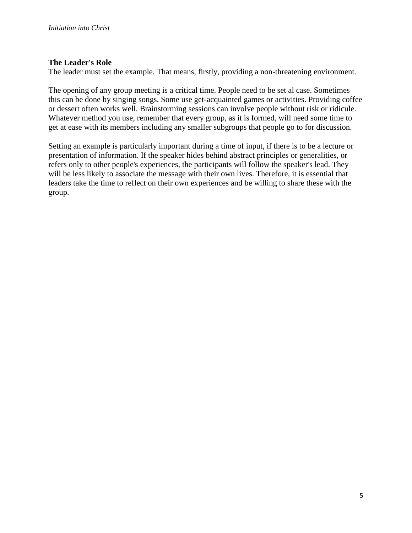#### **The Leader's Role**

The leader must set the example. That means, firstly, providing a non-threatening environment.

The opening of any group meeting is a critical time. People need to be set al case. Sometimes this can be done by singing songs. Some use get-acquainted games or activities. Providing coffee or dessert often works well. Brainstorming sessions can involve people without risk or ridicule. Whatever method you use, remember that every group, as it is formed, will need some time to get at ease with its members including any smaller subgroups that people go to for discussion.

Setting an example is particularly important during a time of input, if there is to be a lecture or presentation of information. If the speaker hides behind abstract principles or generalities, or refers only to other people's experiences, the participants will follow the speaker's lead. They will be less likely to associate the message with their own lives. Therefore, it is essential that leaders take the time to reflect on their own experiences and be willing to share these with the group.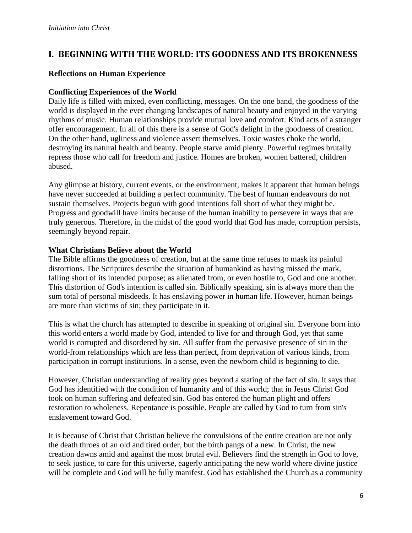# **I. BEGINNING WITH THE WORLD: ITS GOODNESS AND ITS BROKENNESS**

#### **Reflections on Human Experience**

#### **Conflicting Experiences of the World**

Daily life is filled with mixed, even conflicting, messages. On the one band, the goodness of the world is displayed in the ever changing landscapes of natural beauty and enjoyed in the varying rhythms of music. Human relationships provide mutual love and comfort. Kind acts of a stranger offer encouragement. In all of this there is a sense of God's delight in the goodness of creation. On the other hand, ugliness and violence assert themselves. Toxic wastes choke the world, destroying its natural health and beauty. People starve amid plenty. Powerful regimes brutally repress those who call for freedom and justice. Homes are broken, women battered, children abused.

Any glimpse at history, current events, or the environment, makes it apparent that human beings have never succeeded at building a perfect community. The best of human endeavours do not sustain themselves. Projects begun with good intentions fall short of what they might be. Progress and goodwill have limits because of the human inability to persevere in ways that are truly generous. Therefore, in the midst of the good world that God has made, corruption persists, seemingly beyond repair.

#### **What Christians Believe about the World**

The Bible affirms the goodness of creation, but at the same time refuses to mask its painful distortions. The Scriptures describe the situation of humankind as having missed the mark, falling short of its intended purpose; as alienated from, or even hostile to, God and one another. This distortion of God's intention is called sin. Biblically speaking, sin is always more than the sum total of personal misdeeds. It has enslaving power in human life. However, human beings are more than victims of sin; they participate in it.

This is what the church has attempted to describe in speaking of original sin. Everyone born into this world enters a world made by God, intended to live for and through God, yet that same world is corrupted and disordered by sin. All suffer from the pervasive presence of sin in the world-from relationships which are less than perfect, from deprivation of various kinds, from participation in corrupt institutions. In a sense, even the newborn child is beginning to die.

However, Christian understanding of reality goes beyond a stating of the fact of sin. It says that God has identified with the condition of humanity and of this world; that in Jesus Christ God took on human suffering and defeated sin. God bas entered the human plight and offers restoration to wholeness. Repentance is possible. People are called by God to turn from sin's enslavement toward God.

It is because of Christ that Christian believe the convulsions of the entire creation are not only the death throes of an old and tired order, but the birth pangs of a new. In Christ, the new creation dawns amid and against the most brutal evil. Believers find the strength in God to love, to seek justice, to care for this universe, eagerly anticipating the new world where divine justice will be complete and God will be fully manifest. God has established the Church as a community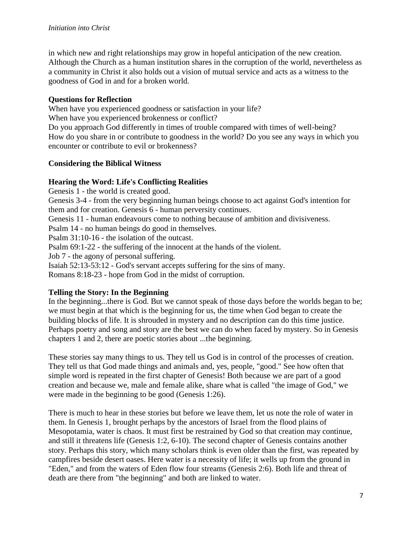in which new and right relationships may grow in hopeful anticipation of the new creation. Although the Church as a human institution shares in the corruption of the world, nevertheless as a community in Christ it also holds out a vision of mutual service and acts as a witness to the goodness of God in and for a broken world.

#### **Questions for Reflection**

When have you experienced goodness or satisfaction in your life? When have you experienced brokenness or conflict? Do you approach God differently in times of trouble compared with times of well-being? How do you share in or contribute to goodness in the world? Do you see any ways in which you encounter or contribute to evil or brokenness?

## **Considering the Biblical Witness**

#### **Hearing the Word: Life's Conflicting Realities**

Genesis 1 - the world is created good.

Genesis 3-4 - from the very beginning human beings choose to act against God's intention for them and for creation. Genesis 6 - human perversity continues.

Genesis 11 - human endeavours come to nothing because of ambition and divisiveness.

Psalm 14 - no human beings do good in themselves.

Psalm 31:10-16 - the isolation of the outcast.

Psalm 69:1-22 - the suffering of the innocent at the hands of the violent.

Job 7 - the agony of personal suffering.

Isaiah 52:13-53:12 - God's servant accepts suffering for the sins of many.

Romans 8:18-23 - hope from God in the midst of corruption.

#### **Telling the Story: In the Beginning**

In the beginning...there is God. But we cannot speak of those days before the worlds began to be; we must begin at that which is the beginning for us, the time when God began to create the building blocks of life. It is shrouded in mystery and no description can do this time justice. Perhaps poetry and song and story are the best we can do when faced by mystery. So in Genesis chapters 1 and 2, there are poetic stories about ...the beginning.

These stories say many things to us. They tell us God is in control of the processes of creation. They tell us that God made things and animals and, yes, people, "good." See how often that simple word is repeated in the first chapter of Genesis! Both because we are part of a good creation and because we, male and female alike, share what is called "the image of God," we were made in the beginning to be good (Genesis 1:26).

There is much to hear in these stories but before we leave them, let us note the role of water in them. In Genesis 1, brought perhaps by the ancestors of Israel from the flood plains of Mesopotamia, water is chaos. It must first be restrained by God so that creation may continue, and still it threatens life (Genesis 1:2, 6-10). The second chapter of Genesis contains another story. Perhaps this story, which many scholars think is even older than the first, was repeated by campfires beside desert oases. Here water is a necessity of life; it wells up from the ground in "Eden," and from the waters of Eden flow four streams (Genesis 2:6). Both life and threat of death are there from "the beginning" and both are linked to water.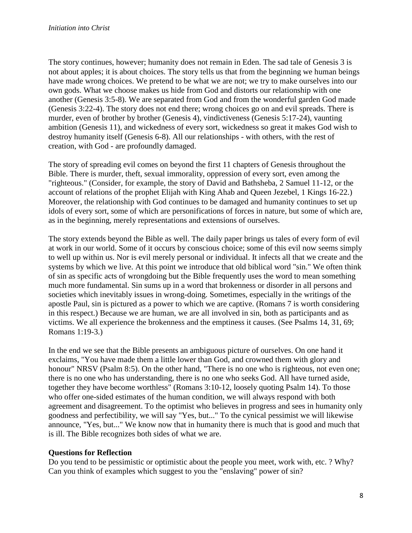The story continues, however; humanity does not remain in Eden. The sad tale of Genesis 3 is not about apples; it is about choices. The story tells us that from the beginning we human beings have made wrong choices. We pretend to be what we are not; we try to make ourselves into our own gods. What we choose makes us hide from God and distorts our relationship with one another (Genesis 3:5-8). We are separated from God and from the wonderful garden God made (Genesis 3:22-4). The story does not end there; wrong choices go on and evil spreads. There is murder, even of brother by brother (Genesis 4), vindictiveness (Genesis 5:17-24), vaunting ambition (Genesis 11), and wickedness of every sort, wickedness so great it makes God wish to destroy humanity itself (Genesis 6-8). All our relationships - with others, with the rest of creation, with God - are profoundly damaged.

The story of spreading evil comes on beyond the first 11 chapters of Genesis throughout the Bible. There is murder, theft, sexual immorality, oppression of every sort, even among the "righteous." (Consider, for example, the story of David and Bathsheba, 2 Samuel 11-12, or the account of relations of the prophet Elijah with King Ahab and Queen Jezebel, 1 Kings 16-22.) Moreover, the relationship with God continues to be damaged and humanity continues to set up idols of every sort, some of which are personifications of forces in nature, but some of which are, as in the beginning, merely representations and extensions of ourselves.

The story extends beyond the Bible as well. The daily paper brings us tales of every form of evil at work in our world. Some of it occurs by conscious choice; some of this evil now seems simply to well up within us. Nor is evil merely personal or individual. It infects all that we create and the systems by which we live. At this point we introduce that old biblical word "sin." We often think of sin as specific acts of wrongdoing but the Bible frequently uses the word to mean something much more fundamental. Sin sums up in a word that brokenness or disorder in all persons and societies which inevitably issues in wrong-doing. Sometimes, especially in the writings of the apostle Paul, sin is pictured as a power to which we are captive. (Romans 7 is worth considering in this respect.) Because we are human, we are all involved in sin, both as participants and as victims. We all experience the brokenness and the emptiness it causes. (See Psalms 14, 31, 69; Romans 1:19-3.)

In the end we see that the Bible presents an ambiguous picture of ourselves. On one hand it exclaims, "You have made them a little lower than God, and crowned them with glory and honour" NRSV (Psalm 8:5). On the other hand, "There is no one who is righteous, not even one; there is no one who has understanding, there is no one who seeks God. All have turned aside, together they have become worthless" (Romans 3:10-12, loosely quoting Psalm 14). To those who offer one-sided estimates of the human condition, we will always respond with both agreement and disagreement. To the optimist who believes in progress and sees in humanity only goodness and perfectibility, we will say "Yes, but..." To the cynical pessimist we will likewise announce, "Yes, but..." We know now that in humanity there is much that is good and much that is ill. The Bible recognizes both sides of what we are.

#### **Questions for Reflection**

Do you tend to be pessimistic or optimistic about the people you meet, work with, etc. ? Why? Can you think of examples which suggest to you the "enslaving" power of sin?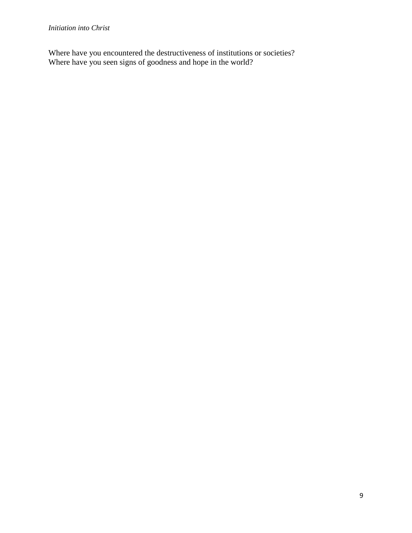Where have you encountered the destructiveness of institutions or societies? Where have you seen signs of goodness and hope in the world?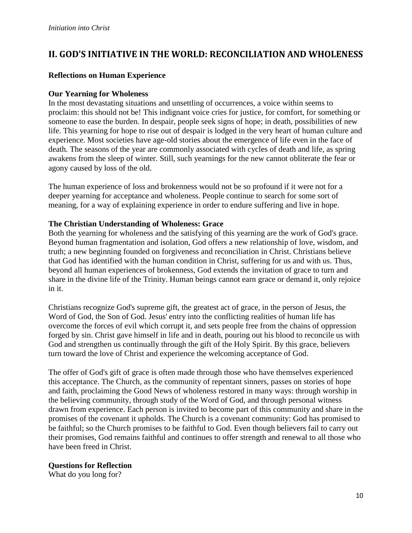# **II. GOD'S INITIATIVE IN THE WORLD: RECONCILIATION AND WHOLENESS**

#### **Reflections on Human Experience**

#### **Our Yearning for Wholeness**

In the most devastating situations and unsettling of occurrences, a voice within seems to proclaim: this should not be! This indignant voice cries for justice, for comfort, for something or someone to ease the burden. In despair, people seek signs of hope; in death, possibilities of new life. This yearning for hope to rise out of despair is lodged in the very heart of human culture and experience. Most societies have age-old stories about the emergence of life even in the face of death. The seasons of the year are commonly associated with cycles of death and life, as spring awakens from the sleep of winter. Still, such yearnings for the new cannot obliterate the fear or agony caused by loss of the old.

The human experience of loss and brokenness would not be so profound if it were not for a deeper yearning for acceptance and wholeness. People continue to search for some sort of meaning, for a way of explaining experience in order to endure suffering and live in hope.

#### **The Christian Understanding of Wholeness: Grace**

Both the yearning for wholeness and the satisfying of this yearning are the work of God's grace. Beyond human fragmentation and isolation, God offers a new relationship of love, wisdom, and truth; a new beginning founded on forgiveness and reconciliation in Christ. Christians believe that God has identified with the human condition in Christ, suffering for us and with us. Thus, beyond all human experiences of brokenness, God extends the invitation of grace to turn and share in the divine life of the Trinity. Human beings cannot earn grace or demand it, only rejoice in it.

Christians recognize God's supreme gift, the greatest act of grace, in the person of Jesus, the Word of God, the Son of God. Jesus' entry into the conflicting realities of human life has overcome the forces of evil which corrupt it, and sets people free from the chains of oppression forged by sin. Christ gave himself in life and in death, pouring out his blood to reconcile us with God and strengthen us continually through the gift of the Holy Spirit. By this grace, believers turn toward the love of Christ and experience the welcoming acceptance of God.

The offer of God's gift of grace is often made through those who have themselves experienced this acceptance. The Church, as the community of repentant sinners, passes on stories of hope and faith, proclaiming the Good News of wholeness restored in many ways: through worship in the believing community, through study of the Word of God, and through personal witness drawn from experience. Each person is invited to become part of this community and share in the promises of the covenant it upholds. The Church is a covenant community: God has promised to be faithful; so the Church promises to be faithful to God. Even though believers fail to carry out their promises, God remains faithful and continues to offer strength and renewal to all those who have been freed in Christ.

#### **Questions for Reflection**

What do you long for?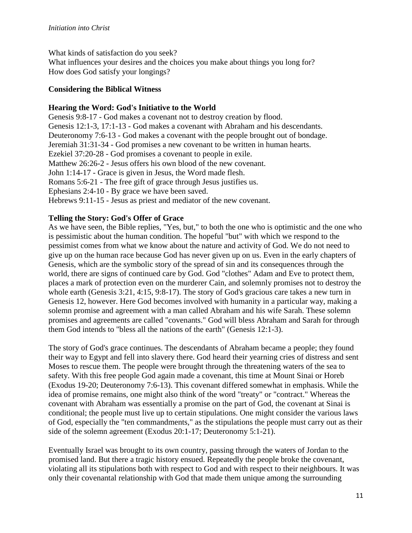What kinds of satisfaction do you seek?

What influences your desires and the choices you make about things you long for? How does God satisfy your longings?

#### **Considering the Biblical Witness**

#### **Hearing the Word: God's Initiative to the World**

Genesis 9:8-17 - God makes a covenant not to destroy creation by flood. Genesis 12:1-3, 17:1-13 - God makes a covenant with Abraham and his descendants. Deuteronomy 7:6-13 - God makes a covenant with the people brought out of bondage. Jeremiah 31:31-34 - God promises a new covenant to be written in human hearts. Ezekiel 37:20-28 - God promises a covenant to people in exile. Matthew 26:26-2 - Jesus offers his own blood of the new covenant. John 1:14-17 - Grace is given in Jesus, the Word made flesh. Romans 5:6-21 - The free gift of grace through Jesus justifies us. Ephesians 2:4-10 - By grace we have been saved. Hebrews 9:11-15 - Jesus as priest and mediator of the new covenant.

## **Telling the Story: God's Offer of Grace**

As we have seen, the Bible replies, "Yes, but," to both the one who is optimistic and the one who is pessimistic about the human condition. The hopeful "but" with which we respond to the pessimist comes from what we know about the nature and activity of God. We do not need to give up on the human race because God has never given up on us. Even in the early chapters of Genesis, which are the symbolic story of the spread of sin and its consequences through the world, there are signs of continued care by God. God "clothes" Adam and Eve to protect them, places a mark of protection even on the murderer Cain, and solemnly promises not to destroy the whole earth (Genesis 3:21, 4:15, 9:8-17). The story of God's gracious care takes a new turn in Genesis 12, however. Here God becomes involved with humanity in a particular way, making a solemn promise and agreement with a man called Abraham and his wife Sarah. These solemn promises and agreements are called "covenants." God will bless Abraham and Sarah for through them God intends to "bless all the nations of the earth" (Genesis 12:1-3).

The story of God's grace continues. The descendants of Abraham became a people; they found their way to Egypt and fell into slavery there. God heard their yearning cries of distress and sent Moses to rescue them. The people were brought through the threatening waters of the sea to safety. With this free people God again made a covenant, this time at Mount Sinai or Horeb (Exodus 19-20; Deuteronomy 7:6-13). This covenant differed somewhat in emphasis. While the idea of promise remains, one might also think of the word "treaty" or "contract." Whereas the covenant with Abraham was essentially a promise on the part of God, the covenant at Sinai is conditional; the people must live up to certain stipulations. One might consider the various laws of God, especially the "ten commandments," as the stipulations the people must carry out as their side of the solemn agreement (Exodus 20:1-17; Deuteronomy 5:1-21).

Eventually Israel was brought to its own country, passing through the waters of Jordan to the promised land. But there a tragic history ensued. Repeatedly the people broke the covenant, violating all its stipulations both with respect to God and with respect to their neighbours. It was only their covenantal relationship with God that made them unique among the surrounding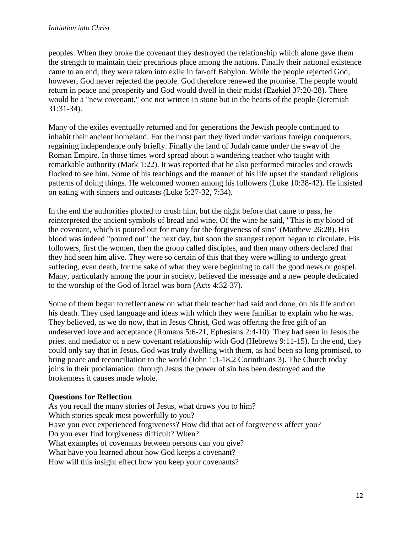peoples. When they broke the covenant they destroyed the relationship which alone gave them the strength to maintain their precarious place among the nations. Finally their national existence came to an end; they were taken into exile in far-off Babylon. While the people rejected God, however, God never rejected the people. God therefore renewed the promise. The people would return in peace and prosperity and God would dwell in their midst (Ezekiel 37:20-28). There would be a "new covenant," one not written in stone but in the hearts of the people (Jeremiah 31:31-34).

Many of the exiles eventually returned and for generations the Jewish people continued to inhabit their ancient homeland. For the most part they lived under various foreign conquerors, regaining independence only briefly. Finally the land of Judah came under the sway of the Roman Empire. In those times word spread about a wandering teacher who taught with remarkable authority (Mark 1:22). It was reported that he also performed miracles and crowds flocked to see him. Some of his teachings and the manner of his life upset the standard religious patterns of doing things. He welcomed women among his followers (Luke 10:38-42). He insisted on eating with sinners and outcasts (Luke 5:27-32, 7:34).

In the end the authorities plotted to crush him, but the night before that came to pass, he reinterpreted the ancient symbols of bread and wine. Of the wine he said, "This is my blood of the covenant, which is poured out for many for the forgiveness of sins" (Matthew 26:28). His blood was indeed "poured out" the next day, but soon the strangest report began to circulate. His followers, first the women, then the group called disciples, and then many others declared that they had seen him alive. They were so certain of this that they were willing to undergo great suffering, even death, for the sake of what they were beginning to call the good news or gospel. Many, particularly among the pour in society, believed the message and a new people dedicated to the worship of the God of Israel was born (Acts 4:32-37).

Some of them began to reflect anew on what their teacher had said and done, on his life and on his death. They used language and ideas with which they were familiar to explain who he was. They believed, as we do now, that in Jesus Christ, God was offering the free gift of an undeserved love and acceptance (Romans 5:6-21, Ephesians 2:4-10). They had seen in Jesus the priest and mediator of a new covenant relationship with God (Hebrews 9:11-15). In the end, they could only say that in Jesus, God was truly dwelling with them, as had been so long promised, to bring peace and reconciliation to the world (John 1:1-18,2 Corinthians 3). The Church today joins in their proclamation: through Jesus the power of sin has been destroyed and the brokenness it causes made whole.

#### **Questions for Reflection**

As you recall the many stories of Jesus, what draws you to him? Which stories speak most powerfully to you? Have you ever experienced forgiveness? How did that act of forgiveness affect you? Do you ever find forgiveness difficult? When? What examples of covenants between persons can you give? What have you learned about how God keeps a covenant? How will this insight effect how you keep your covenants?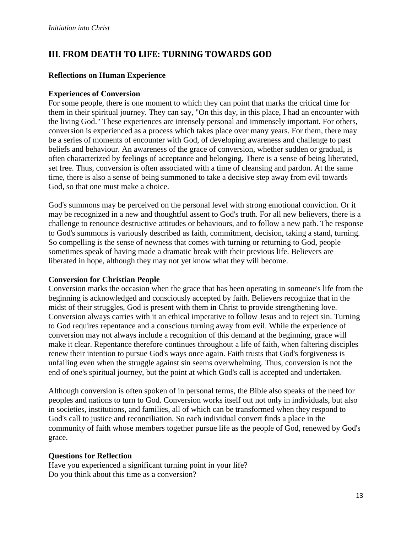# **III. FROM DEATH TO LIFE: TURNING TOWARDS GOD**

#### **Reflections on Human Experience**

#### **Experiences of Conversion**

For some people, there is one moment to which they can point that marks the critical time for them in their spiritual journey. They can say, "On this day, in this place, I had an encounter with the living God." These experiences are intensely personal and immensely important. For others, conversion is experienced as a process which takes place over many years. For them, there may be a series of moments of encounter with God, of developing awareness and challenge to past beliefs and behaviour. An awareness of the grace of conversion, whether sudden or gradual, is often characterized by feelings of acceptance and belonging. There is a sense of being liberated, set free. Thus, conversion is often associated with a time of cleansing and pardon. At the same time, there is also a sense of being summoned to take a decisive step away from evil towards God, so that one must make a choice.

God's summons may be perceived on the personal level with strong emotional conviction. Or it may be recognized in a new and thoughtful assent to God's truth. For all new believers, there is a challenge to renounce destructive attitudes or behaviours, and to follow a new path. The response to God's summons is variously described as faith, commitment, decision, taking a stand, turning. So compelling is the sense of newness that comes with turning or returning to God, people sometimes speak of having made a dramatic break with their previous life. Believers are liberated in hope, although they may not yet know what they will become.

#### **Conversion for Christian People**

Conversion marks the occasion when the grace that has been operating in someone's life from the beginning is acknowledged and consciously accepted by faith. Believers recognize that in the midst of their struggles, God is present with them in Christ to provide strengthening love. Conversion always carries with it an ethical imperative to follow Jesus and to reject sin. Turning to God requires repentance and a conscious turning away from evil. While the experience of conversion may not always include a recognition of this demand at the beginning, grace will make it clear. Repentance therefore continues throughout a life of faith, when faltering disciples renew their intention to pursue God's ways once again. Faith trusts that God's forgiveness is unfailing even when the struggle against sin seems overwhelming. Thus, conversion is not the end of one's spiritual journey, but the point at which God's call is accepted and undertaken.

Although conversion is often spoken of in personal terms, the Bible also speaks of the need for peoples and nations to turn to God. Conversion works itself out not only in individuals, but also in societies, institutions, and families, all of which can be transformed when they respond to God's call to justice and reconciliation. So each individual convert finds a place in the community of faith whose members together pursue life as the people of God, renewed by God's grace.

#### **Questions for Reflection**

Have you experienced a significant turning point in your life? Do you think about this time as a conversion?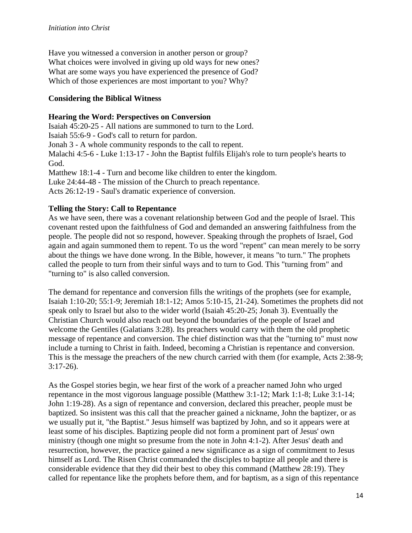Have you witnessed a conversion in another person or group? What choices were involved in giving up old ways for new ones? What are some ways you have experienced the presence of God? Which of those experiences are most important to you? Why?

#### **Considering the Biblical Witness**

#### **Hearing the Word: Perspectives on Conversion**

Isaiah 45:20-25 - All nations are summoned to turn to the Lord.

Isaiah 55:6-9 - God's call to return for pardon.

Jonah 3 - A whole community responds to the call to repent.

Malachi 4:5-6 - Luke 1:13-17 - John the Baptist fulfils Elijah's role to turn people's hearts to God.

Matthew 18:1-4 - Turn and become like children to enter the kingdom.

Luke 24:44-48 - The mission of the Church to preach repentance.

Acts 26:12-19 - Saul's dramatic experience of conversion.

#### **Telling the Story: Call to Repentance**

As we have seen, there was a covenant relationship between God and the people of Israel. This covenant rested upon the faithfulness of God and demanded an answering faithfulness from the people. The people did not so respond, however. Speaking through the prophets of Israel, God again and again summoned them to repent. To us the word "repent" can mean merely to be sorry about the things we have done wrong. In the Bible, however, it means "to turn." The prophets called the people to turn from their sinful ways and to turn to God. This "turning from" and "turning to" is also called conversion.

The demand for repentance and conversion fills the writings of the prophets (see for example, Isaiah 1:10-20; 55:1-9; Jeremiah 18:1-12; Amos 5:10-15, 21-24). Sometimes the prophets did not speak only to Israel but also to the wider world (Isaiah 45:20-25; Jonah 3). Eventually the Christian Church would also reach out beyond the boundaries of the people of Israel and welcome the Gentiles (Galatians 3:28). Its preachers would carry with them the old prophetic message of repentance and conversion. The chief distinction was that the "turning to" must now include a turning to Christ in faith. Indeed, becoming a Christian is repentance and conversion. This is the message the preachers of the new church carried with them (for example, Acts 2:38-9; 3:17-26).

As the Gospel stories begin, we hear first of the work of a preacher named John who urged repentance in the most vigorous language possible (Matthew 3:1-12; Mark 1:1-8; Luke 3:1-14; John 1:19-28). As a sign of repentance and conversion, declared this preacher, people must be baptized. So insistent was this call that the preacher gained a nickname, John the baptizer, or as we usually put it, "the Baptist." Jesus himself was baptized by John, and so it appears were at least some of his disciples. Baptizing people did not form a prominent part of Jesus' own ministry (though one might so presume from the note in John 4:1-2). After Jesus' death and resurrection, however, the practice gained a new significance as a sign of commitment to Jesus himself as Lord. The Risen Christ commanded the disciples to baptize all people and there is considerable evidence that they did their best to obey this command (Matthew 28:19). They called for repentance like the prophets before them, and for baptism, as a sign of this repentance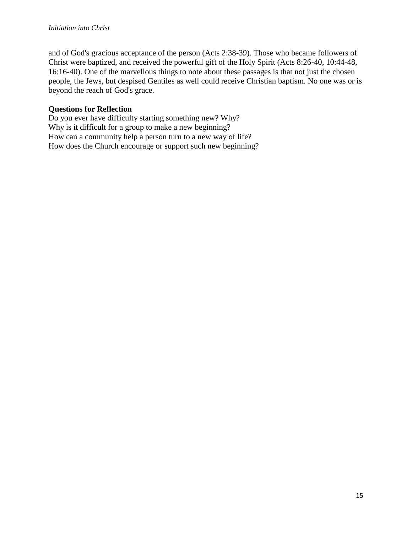and of God's gracious acceptance of the person (Acts 2:38-39). Those who became followers of Christ were baptized, and received the powerful gift of the Holy Spirit (Acts 8:26-40, 10:44-48, 16:16-40). One of the marvellous things to note about these passages is that not just the chosen people, the Jews, but despised Gentiles as well could receive Christian baptism. No one was or is beyond the reach of God's grace.

#### **Questions for Reflection**

Do you ever have difficulty starting something new? Why? Why is it difficult for a group to make a new beginning? How can a community help a person turn to a new way of life? How does the Church encourage or support such new beginning?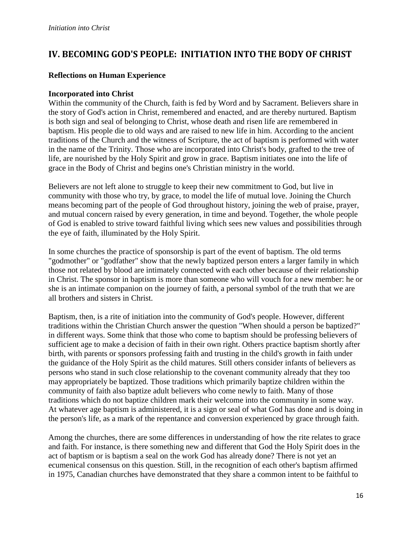# **IV. BECOMING GOD'S PEOPLE: INITIATION INTO THE BODY OF CHRIST**

#### **Reflections on Human Experience**

#### **Incorporated into Christ**

Within the community of the Church, faith is fed by Word and by Sacrament. Believers share in the story of God's action in Christ, remembered and enacted, and are thereby nurtured. Baptism is both sign and seal of belonging to Christ, whose death and risen life are remembered in baptism. His people die to old ways and are raised to new life in him. According to the ancient traditions of the Church and the witness of Scripture, the act of baptism is performed with water in the name of the Trinity. Those who are incorporated into Christ's body, grafted to the tree of life, are nourished by the Holy Spirit and grow in grace. Baptism initiates one into the life of grace in the Body of Christ and begins one's Christian ministry in the world.

Believers are not left alone to struggle to keep their new commitment to God, but live in community with those who try, by grace, to model the life of mutual love. Joining the Church means becoming part of the people of God throughout history, joining the web of praise, prayer, and mutual concern raised by every generation, in time and beyond. Together, the whole people of God is enabled to strive toward faithful living which sees new values and possibilities through the eye of faith, illuminated by the Holy Spirit.

In some churches the practice of sponsorship is part of the event of baptism. The old terms "godmother" or "godfather" show that the newly baptized person enters a larger family in which those not related by blood are intimately connected with each other because of their relationship in Christ. The sponsor in baptism is more than someone who will vouch for a new member: he or she is an intimate companion on the journey of faith, a personal symbol of the truth that we are all brothers and sisters in Christ.

Baptism, then, is a rite of initiation into the community of God's people. However, different traditions within the Christian Church answer the question "When should a person be baptized?" in different ways. Some think that those who come to baptism should be professing believers of sufficient age to make a decision of faith in their own right. Others practice baptism shortly after birth, with parents or sponsors professing faith and trusting in the child's growth in faith under the guidance of the Holy Spirit as the child matures. Still others consider infants of believers as persons who stand in such close relationship to the covenant community already that they too may appropriately be baptized. Those traditions which primarily baptize children within the community of faith also baptize adult believers who come newly to faith. Many of those traditions which do not baptize children mark their welcome into the community in some way. At whatever age baptism is administered, it is a sign or seal of what God has done and is doing in the person's life, as a mark of the repentance and conversion experienced by grace through faith.

Among the churches, there are some differences in understanding of how the rite relates to grace and faith. For instance, is there something new and different that God the Holy Spirit does in the act of baptism or is baptism a seal on the work God has already done? There is not yet an ecumenical consensus on this question. Still, in the recognition of each other's baptism affirmed in 1975, Canadian churches have demonstrated that they share a common intent to be faithful to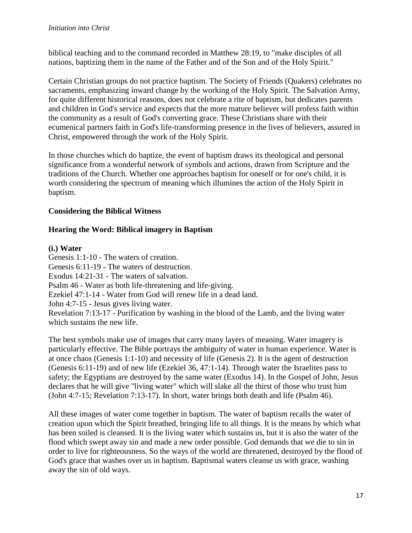biblical teaching and to the command recorded in Matthew 28:19, to "make disciples of all nations, baptizing them in the name of the Father and of the Son and of the Holy Spirit."

Certain Christian groups do not practice baptism. The Society of Friends (Quakers) celebrates no sacraments, emphasizing inward change by the working of the Holy Spirit. The Salvation Army, for quite different historical reasons, does not celebrate a rite of baptism, but dedicates parents and children in God's service and expects that the more mature believer will profess faith within the community as a result of God's converting grace. These Christians share with their ecumenical partners faith in God's life-transforming presence in the lives of believers, assured in Christ, empowered through the work of the Holy Spirit.

In those churches which do baptize, the event of baptism draws its theological and personal significance from a wonderful network of symbols and actions, drawn from Scripture and the traditions of the Church. Whether one approaches baptism for oneself or for one's child, it is worth considering the spectrum of meaning which illumines the action of the Holy Spirit in baptism.

## **Considering the Biblical Witness**

## **Hearing the Word: Biblical imagery in Baptism**

#### **(i.) Water**

Genesis 1:1-10 - The waters of creation. Genesis 6:11-19 - The waters of destruction. Exodus 14:21-31 - The waters of salvation. Psalm 46 - Water as both life-threatening and life-giving. Ezekiel 47:1-14 - Water from God will renew life in a dead land. John 4:7-15 - Jesus gives living water. Revelation 7:13-17 - Purification by washing in the blood of the Lamb, and the living water which sustains the new life.

The best symbols make use of images that carry many layers of meaning. Water imagery is particularly effective. The Bible portrays the ambiguity of water in human experience. Water is at once chaos (Genesis 1:1-10) and necessity of life (Genesis 2). It is the agent of destruction (Genesis 6:11-19) and of new life (Ezekiel 36, 47:1-14). Through water the Israelites pass to safety; the Egyptians are destroyed by the same water (Exodus 14). In the Gospel of John, Jesus declares that he will give "living water" which will slake all the thirst of those who trust him (John 4:7-15; Revelation 7:13-17). In short, water brings both death and life (Psalm 46).

All these images of water come together in baptism. The water of baptism recalls the water of creation upon which the Spirit breathed, bringing life to all things. It is the means by which what has been soiled is cleansed. It is the living water which sustains us, but it is also the water of the flood which swept away sin and made a new order possible. God demands that we die to sin in order to live for righteousness. So the ways of the world are threatened, destroyed by the flood of God's grace that washes over us in baptism. Baptismal waters cleanse us with grace, washing away the sin of old ways.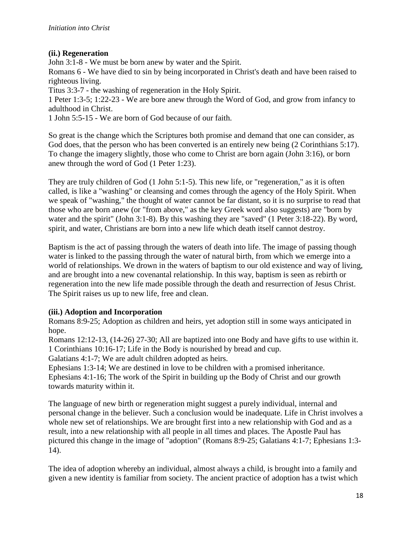#### **(ii.) Regeneration**

John 3:1-8 - We must be born anew by water and the Spirit.

Romans 6 - We have died to sin by being incorporated in Christ's death and have been raised to righteous living.

Titus 3:3-7 - the washing of regeneration in the Holy Spirit.

1 Peter 1:3-5; 1:22-23 - We are bore anew through the Word of God, and grow from infancy to adulthood in Christ.

1 John 5:5-15 - We are born of God because of our faith.

So great is the change which the Scriptures both promise and demand that one can consider, as God does, that the person who has been converted is an entirely new being (2 Corinthians 5:17). To change the imagery slightly, those who come to Christ are born again (John 3:16), or born anew through the word of God (1 Peter 1:23).

They are truly children of God (1 John 5:1-5). This new life, or "regeneration," as it is often called, is like a "washing" or cleansing and comes through the agency of the Holy Spirit. When we speak of "washing," the thought of water cannot be far distant, so it is no surprise to read that those who are born anew (or "from above," as the key Greek word also suggests) are "born by water and the spirit" (John 3:1-8). By this washing they are "saved" (1 Peter 3:18-22). By word, spirit, and water, Christians are born into a new life which death itself cannot destroy.

Baptism is the act of passing through the waters of death into life. The image of passing though water is linked to the passing through the water of natural birth, from which we emerge into a world of relationships. We drown in the waters of baptism to our old existence and way of living, and are brought into a new covenantal relationship. In this way, baptism is seen as rebirth or regeneration into the new life made possible through the death and resurrection of Jesus Christ. The Spirit raises us up to new life, free and clean.

# **(iii.) Adoption and Incorporation**

Romans 8:9-25; Adoption as children and heirs, yet adoption still in some ways anticipated in hope.

Romans 12:12-13, (14-26) 27-30; All are baptized into one Body and have gifts to use within it. 1 Corinthians 10:16-17; Life in the Body is nourished by bread and cup.

Galatians 4:1-7; We are adult children adopted as heirs.

Ephesians 1:3-14; We are destined in love to be children with a promised inheritance. Ephesians 4:1-16; The work of the Spirit in building up the Body of Christ and our growth towards maturity within it.

The language of new birth or regeneration might suggest a purely individual, internal and personal change in the believer. Such a conclusion would be inadequate. Life in Christ involves a whole new set of relationships. We are brought first into a new relationship with God and as a result, into a new relationship with all people in all times and places. The Apostle Paul has pictured this change in the image of "adoption" (Romans 8:9-25; Galatians 4:1-7; Ephesians 1:3- 14).

The idea of adoption whereby an individual, almost always a child, is brought into a family and given a new identity is familiar from society. The ancient practice of adoption has a twist which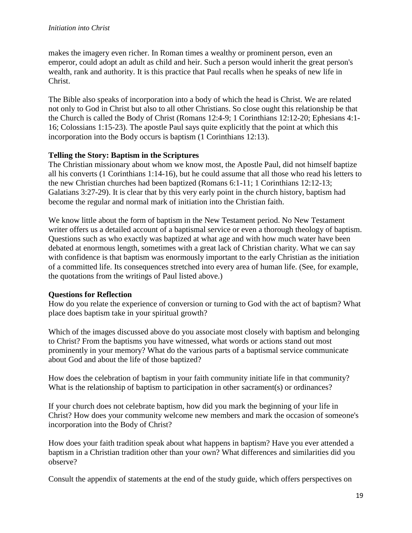makes the imagery even richer. In Roman times a wealthy or prominent person, even an emperor, could adopt an adult as child and heir. Such a person would inherit the great person's wealth, rank and authority. It is this practice that Paul recalls when he speaks of new life in Christ.

The Bible also speaks of incorporation into a body of which the head is Christ. We are related not only to God in Christ but also to all other Christians. So close ought this relationship be that the Church is called the Body of Christ (Romans 12:4-9; 1 Corinthians 12:12-20; Ephesians 4:1- 16; Colossians 1:15-23). The apostle Paul says quite explicitly that the point at which this incorporation into the Body occurs is baptism (1 Corinthians 12:13).

## **Telling the Story: Baptism in the Scriptures**

The Christian missionary about whom we know most, the Apostle Paul, did not himself baptize all his converts (1 Corinthians 1:14-16), but he could assume that all those who read his letters to the new Christian churches had been baptized (Romans 6:1-11; 1 Corinthians 12:12-13; Galatians 3:27-29). It is clear that by this very early point in the church history, baptism had become the regular and normal mark of initiation into the Christian faith.

We know little about the form of baptism in the New Testament period. No New Testament writer offers us a detailed account of a baptismal service or even a thorough theology of baptism. Questions such as who exactly was baptized at what age and with how much water have been debated at enormous length, sometimes with a great lack of Christian charity. What we can say with confidence is that baptism was enormously important to the early Christian as the initiation of a committed life. Its consequences stretched into every area of human life. (See, for example, the quotations from the writings of Paul listed above.)

#### **Questions for Reflection**

How do you relate the experience of conversion or turning to God with the act of baptism? What place does baptism take in your spiritual growth?

Which of the images discussed above do you associate most closely with baptism and belonging to Christ? From the baptisms you have witnessed, what words or actions stand out most prominently in your memory? What do the various parts of a baptismal service communicate about God and about the life of those baptized?

How does the celebration of baptism in your faith community initiate life in that community? What is the relationship of baptism to participation in other sacrament(s) or ordinances?

If your church does not celebrate baptism, how did you mark the beginning of your life in Christ? How does your community welcome new members and mark the occasion of someone's incorporation into the Body of Christ?

How does your faith tradition speak about what happens in baptism? Have you ever attended a baptism in a Christian tradition other than your own? What differences and similarities did you observe?

Consult the appendix of statements at the end of the study guide, which offers perspectives on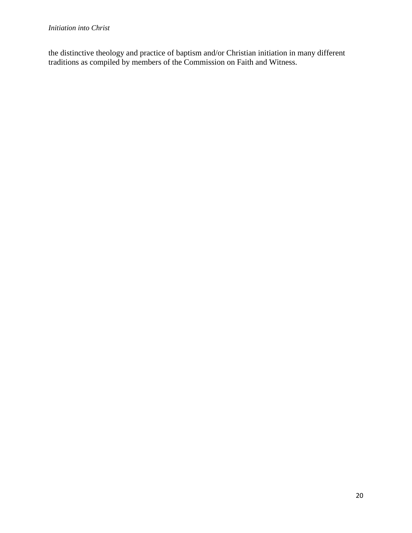the distinctive theology and practice of baptism and/or Christian initiation in many different traditions as compiled by members of the Commission on Faith and Witness.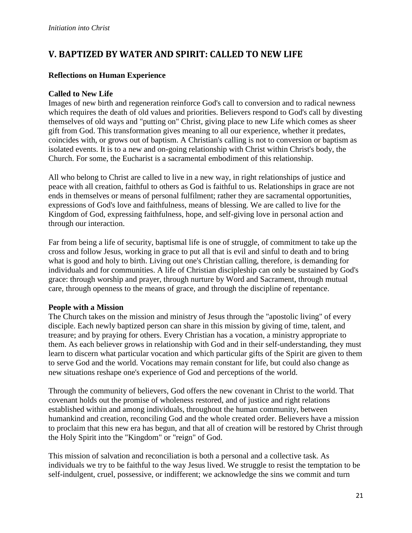# **V. BAPTIZED BY WATER AND SPIRIT: CALLED TO NEW LIFE**

#### **Reflections on Human Experience**

## **Called to New Life**

Images of new birth and regeneration reinforce God's call to conversion and to radical newness which requires the death of old values and priorities. Believers respond to God's call by divesting themselves of old ways and "putting on" Christ, giving place to new Life which comes as sheer gift from God. This transformation gives meaning to all our experience, whether it predates, coincides with, or grows out of baptism. A Christian's calling is not to conversion or baptism as isolated events. It is to a new and on-going relationship with Christ within Christ's body, the Church. For some, the Eucharist is a sacramental embodiment of this relationship.

All who belong to Christ are called to live in a new way, in right relationships of justice and peace with all creation, faithful to others as God is faithful to us. Relationships in grace are not ends in themselves or means of personal fulfilment; rather they are sacramental opportunities, expressions of God's love and faithfulness, means of blessing. We are called to live for the Kingdom of God, expressing faithfulness, hope, and self-giving love in personal action and through our interaction.

Far from being a life of security, baptismal life is one of struggle, of commitment to take up the cross and follow Jesus, working in grace to put all that is evil and sinful to death and to bring what is good and holy to birth. Living out one's Christian calling, therefore, is demanding for individuals and for communities. A life of Christian discipleship can only be sustained by God's grace: through worship and prayer, through nurture by Word and Sacrament, through mutual care, through openness to the means of grace, and through the discipline of repentance.

#### **People with a Mission**

The Church takes on the mission and ministry of Jesus through the "apostolic living" of every disciple. Each newly baptized person can share in this mission by giving of time, talent, and treasure; and by praying for others. Every Christian has a vocation, a ministry appropriate to them. As each believer grows in relationship with God and in their self-understanding, they must learn to discern what particular vocation and which particular gifts of the Spirit are given to them to serve God and the world. Vocations may remain constant for life, but could also change as new situations reshape one's experience of God and perceptions of the world.

Through the community of believers, God offers the new covenant in Christ to the world. That covenant holds out the promise of wholeness restored, and of justice and right relations established within and among individuals, throughout the human community, between humankind and creation, reconciling God and the whole created order. Believers have a mission to proclaim that this new era has begun, and that all of creation will be restored by Christ through the Holy Spirit into the "Kingdom" or "reign" of God.

This mission of salvation and reconciliation is both a personal and a collective task. As individuals we try to be faithful to the way Jesus lived. We struggle to resist the temptation to be self-indulgent, cruel, possessive, or indifferent; we acknowledge the sins we commit and turn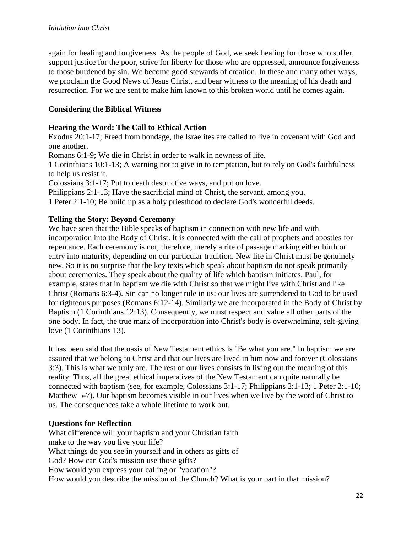again for healing and forgiveness. As the people of God, we seek healing for those who suffer, support justice for the poor, strive for liberty for those who are oppressed, announce forgiveness to those burdened by sin. We become good stewards of creation. In these and many other ways, we proclaim the Good News of Jesus Christ, and bear witness to the meaning of his death and resurrection. For we are sent to make him known to this broken world until he comes again.

#### **Considering the Biblical Witness**

#### **Hearing the Word: The Call to Ethical Action**

Exodus 20:1-17; Freed from bondage, the Israelites are called to live in covenant with God and one another.

Romans 6:1-9; We die in Christ in order to walk in newness of life.

1 Corinthians 10:1-13; A warning not to give in to temptation, but to rely on God's faithfulness to help us resist it.

Colossians 3:1-17; Put to death destructive ways, and put on love.

Philippians 2:1-13; Have the sacrificial mind of Christ, the servant, among you.

1 Peter 2:1-10; Be build up as a holy priesthood to declare God's wonderful deeds.

#### **Telling the Story: Beyond Ceremony**

We have seen that the Bible speaks of baptism in connection with new life and with incorporation into the Body of Christ. It is connected with the call of prophets and apostles for repentance. Each ceremony is not, therefore, merely a rite of passage marking either birth or entry into maturity, depending on our particular tradition. New life in Christ must be genuinely new. So it is no surprise that the key texts which speak about baptism do not speak primarily about ceremonies. They speak about the quality of life which baptism initiates. Paul, for example, states that in baptism we die with Christ so that we might live with Christ and like Christ (Romans 6:3-4). Sin can no longer rule in us; our lives are surrendered to God to be used for righteous purposes (Romans 6:12-14). Similarly we are incorporated in the Body of Christ by Baptism (1 Corinthians 12:13). Consequently, we must respect and value all other parts of the one body. In fact, the true mark of incorporation into Christ's body is overwhelming, self-giving love (1 Corinthians 13).

It has been said that the oasis of New Testament ethics is "Be what you are." In baptism we are assured that we belong to Christ and that our lives are lived in him now and forever (Colossians 3:3). This is what we truly are. The rest of our lives consists in living out the meaning of this reality. Thus, all the great ethical imperatives of the New Testament can quite naturally be connected with baptism (see, for example, Colossians 3:1-17; Philippians 2:1-13; 1 Peter 2:1-10; Matthew 5-7). Our baptism becomes visible in our lives when we live by the word of Christ to us. The consequences take a whole lifetime to work out.

#### **Questions for Reflection**

What difference will your baptism and your Christian faith make to the way you live your life? What things do you see in yourself and in others as gifts of God? How can God's mission use those gifts? How would you express your calling or "vocation"? How would you describe the mission of the Church? What is your part in that mission?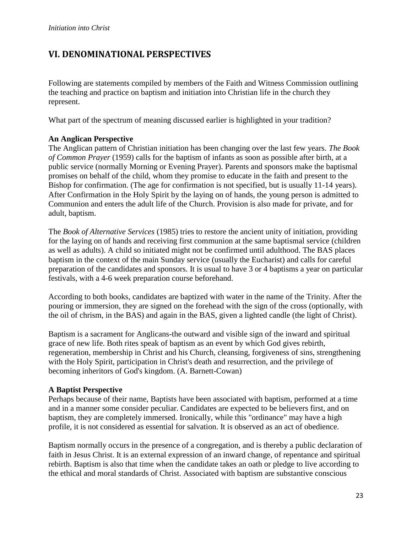# **VI. DENOMINATIONAL PERSPECTIVES**

Following are statements compiled by members of the Faith and Witness Commission outlining the teaching and practice on baptism and initiation into Christian life in the church they represent.

What part of the spectrum of meaning discussed earlier is highlighted in your tradition?

#### **An Anglican Perspective**

The Anglican pattern of Christian initiation has been changing over the last few years. *The Book of Common Prayer* (1959) calls for the baptism of infants as soon as possible after birth, at a public service (normally Morning or Evening Prayer). Parents and sponsors make the baptismal promises on behalf of the child, whom they promise to educate in the faith and present to the Bishop for confirmation. (The age for confirmation is not specified, but is usually 11-14 years). After Confirmation in the Holy Spirit by the laying on of hands, the young person is admitted to Communion and enters the adult life of the Church. Provision is also made for private, and for adult, baptism.

The *Book of Alternative Services* (1985) tries to restore the ancient unity of initiation, providing for the laying on of hands and receiving first communion at the same baptismal service (children as well as adults). A child so initiated might not be confirmed until adulthood. The BAS places baptism in the context of the main Sunday service (usually the Eucharist) and calls for careful preparation of the candidates and sponsors. It is usual to have 3 or 4 baptisms a year on particular festivals, with a 4-6 week preparation course beforehand.

According to both books, candidates are baptized with water in the name of the Trinity. After the pouring or immersion, they are signed on the forehead with the sign of the cross (optionally, with the oil of chrism, in the BAS) and again in the BAS, given a lighted candle (the light of Christ).

Baptism is a sacrament for Anglicans-the outward and visible sign of the inward and spiritual grace of new life. Both rites speak of baptism as an event by which God gives rebirth, regeneration, membership in Christ and his Church, cleansing, forgiveness of sins, strengthening with the Holy Spirit, participation in Christ's death and resurrection, and the privilege of becoming inheritors of God's kingdom. (A. Barnett-Cowan)

#### **A Baptist Perspective**

Perhaps because of their name, Baptists have been associated with baptism, performed at a time and in a manner some consider peculiar. Candidates are expected to be believers first, and on baptism, they are completely immersed. Ironically, while this "ordinance" may have a high profile, it is not considered as essential for salvation. It is observed as an act of obedience.

Baptism normally occurs in the presence of a congregation, and is thereby a public declaration of faith in Jesus Christ. It is an external expression of an inward change, of repentance and spiritual rebirth. Baptism is also that time when the candidate takes an oath or pledge to live according to the ethical and moral standards of Christ. Associated with baptism are substantive conscious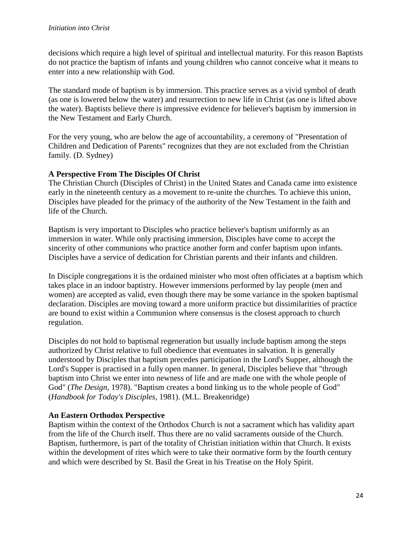decisions which require a high level of spiritual and intellectual maturity. For this reason Baptists do not practice the baptism of infants and young children who cannot conceive what it means to enter into a new relationship with God.

The standard mode of baptism is by immersion. This practice serves as a vivid symbol of death (as one is lowered below the water) and resurrection to new life in Christ (as one is lifted above the water). Baptists believe there is impressive evidence for believer's baptism by immersion in the New Testament and Early Church.

For the very young, who are below the age of accountability, a ceremony of "Presentation of Children and Dedication of Parents" recognizes that they are not excluded from the Christian family. (D. Sydney)

## **A Perspective From The Disciples Of Christ**

The Christian Church (Disciples of Christ) in the United States and Canada came into existence early in the nineteenth century as a movement to re-unite the churches. To achieve this union, Disciples have pleaded for the primacy of the authority of the New Testament in the faith and life of the Church.

Baptism is very important to Disciples who practice believer's baptism uniformly as an immersion in water. While only practising immersion, Disciples have come to accept the sincerity of other communions who practice another form and confer baptism upon infants. Disciples have a service of dedication for Christian parents and their infants and children.

In Disciple congregations it is the ordained minister who most often officiates at a baptism which takes place in an indoor baptistry. However immersions performed by lay people (men and women) are accepted as valid, even though there may be some variance in the spoken baptismal declaration. Disciples are moving toward a more uniform practice but dissimilarities of practice are bound to exist within a Communion where consensus is the closest approach to church regulation.

Disciples do not hold to baptismal regeneration but usually include baptism among the steps authorized by Christ relative to full obedience that eventuates in salvation. It is generally understood by Disciples that baptism precedes participation in the Lord's Supper, although the Lord's Supper is practised in a fully open manner. In general, Disciples believe that "through baptism into Christ we enter into newness of life and are made one with the whole people of God" (*The Design*, 1978). "Baptism creates a bond linking us to the whole people of God" (*Handbook for Today's Disciples*, 1981). (M.L. Breakenridge)

#### **An Eastern Orthodox Perspective**

Baptism within the context of the Orthodox Church is not a sacrament which has validity apart from the life of the Church itself. Thus there are no valid sacraments outside of the Church. Baptism, furthermore, is part of the totality of Christian initiation within that Church. It exists within the development of rites which were to take their normative form by the fourth century and which were described by St. Basil the Great in his Treatise on the Holy Spirit.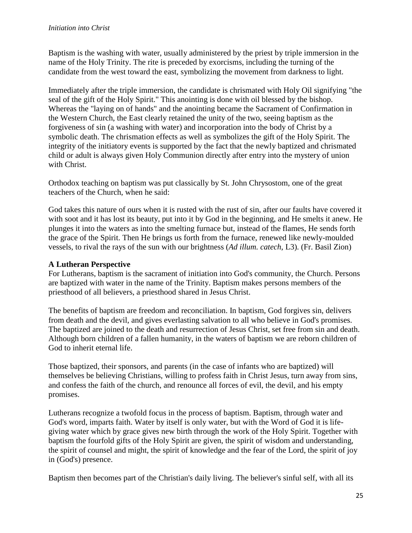Baptism is the washing with water, usually administered by the priest by triple immersion in the name of the Holy Trinity. The rite is preceded by exorcisms, including the turning of the candidate from the west toward the east, symbolizing the movement from darkness to light.

Immediately after the triple immersion, the candidate is chrismated with Holy Oil signifying "the seal of the gift of the Holy Spirit." This anointing is done with oil blessed by the bishop. Whereas the "laying on of hands" and the anointing became the Sacrament of Confirmation in the Western Church, the East clearly retained the unity of the two, seeing baptism as the forgiveness of sin (a washing with water) and incorporation into the body of Christ by a symbolic death. The chrismation effects as well as symbolizes the gift of the Holy Spirit. The integrity of the initiatory events is supported by the fact that the newly baptized and chrismated child or adult is always given Holy Communion directly after entry into the mystery of union with Christ.

Orthodox teaching on baptism was put classically by St. John Chrysostom, one of the great teachers of the Church, when he said:

God takes this nature of ours when it is rusted with the rust of sin, after our faults have covered it with soot and it has lost its beauty, put into it by God in the beginning, and He smelts it anew. He plunges it into the waters as into the smelting furnace but, instead of the flames, He sends forth the grace of the Spirit. Then He brings us forth from the furnace, renewed like newly-moulded vessels, to rival the rays of the sun with our brightness (*Ad illum. catech*, L3). (Fr. Basil Zion)

## **A Lutheran Perspective**

For Lutherans, baptism is the sacrament of initiation into God's community, the Church. Persons are baptized with water in the name of the Trinity. Baptism makes persons members of the priesthood of all believers, a priesthood shared in Jesus Christ.

The benefits of baptism are freedom and reconciliation. In baptism, God forgives sin, delivers from death and the devil, and gives everlasting salvation to all who believe in God's promises. The baptized are joined to the death and resurrection of Jesus Christ, set free from sin and death. Although born children of a fallen humanity, in the waters of baptism we are reborn children of God to inherit eternal life.

Those baptized, their sponsors, and parents (in the case of infants who are baptized) will themselves be believing Christians, willing to profess faith in Christ Jesus, turn away from sins, and confess the faith of the church, and renounce all forces of evil, the devil, and his empty promises.

Lutherans recognize a twofold focus in the process of baptism. Baptism, through water and God's word, imparts faith. Water by itself is only water, but with the Word of God it is lifegiving water which by grace gives new birth through the work of the Holy Spirit. Together with baptism the fourfold gifts of the Holy Spirit are given, the spirit of wisdom and understanding, the spirit of counsel and might, the spirit of knowledge and the fear of the Lord, the spirit of joy in (God's) presence.

Baptism then becomes part of the Christian's daily living. The believer's sinful self, with all its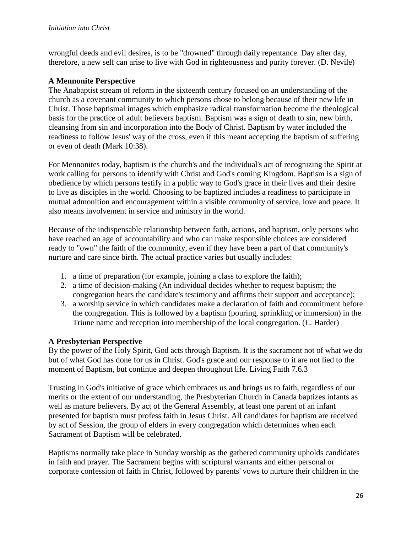wrongful deeds and evil desires, is to be "drowned" through daily repentance. Day after day, therefore, a new self can arise to live with God in righteousness and purity forever. (D. Nevile)

#### **A Mennonite Perspective**

The Anabaptist stream of reform in the sixteenth century focused on an understanding of the church as a covenant community to which persons chose to belong because of their new life in Christ. Those baptismal images which emphasize radical transformation become the theological basis for the practice of adult believers baptism. Baptism was a sign of death to sin, new birth, cleansing from sin and incorporation into the Body of Christ. Baptism by water included the readiness to follow Jesus' way of the cross, even if this meant accepting the baptism of suffering or even of death (Mark 10:38).

For Mennonites today, baptism is the church's and the individual's act of recognizing the Spirit at work calling for persons to identify with Christ and God's coming Kingdom. Baptism is a sign of obedience by which persons testify in a public way to God's grace in their lives and their desire to live as disciples in the world. Choosing to be baptized includes a readiness to participate in mutual admonition and encouragement within a visible community of service, love and peace. It also means involvement in service and ministry in the world.

Because of the indispensable relationship between faith, actions, and baptism, only persons who have reached an age of accountability and who can make responsible choices are considered ready to "own" the faith of the community, even if they have been a part of that community's nurture and care since birth. The actual practice varies but usually includes:

- 1. a time of preparation (for example, joining a class to explore the faith);
- 2. a time of decision-making (An individual decides whether to request baptism; the congregation hears the candidate's testimony and affirms their support and acceptance);
- 3. a worship service in which candidates make a declaration of faith and commitment before the congregation. This is followed by a baptism (pouring, sprinkling or immersion) in the Triune name and reception into membership of the local congregation. (L. Harder)

# **A Presbyterian Perspective**

By the power of the Holy Spirit, God acts through Baptism. It is the sacrament not of what we do but of what God has done for us in Christ. God's grace and our response to it are not lied to the moment of Baptism, but continue and deepen throughout life. Living Faith 7.6.3

Trusting in God's initiative of grace which embraces us and brings us to faith, regardless of our merits or the extent of our understanding, the Presbyterian Church in Canada baptizes infants as well as mature believers. By act of the General Assembly, at least one parent of an infant presented for baptism must profess faith in Jesus Christ. All candidates for baptism are received by act of Session, the group of elders in every congregation which determines when each Sacrament of Baptism will be celebrated.

Baptisms normally take place in Sunday worship as the gathered community upholds candidates in faith and prayer. The Sacrament begins with scriptural warrants and either personal or corporate confession of faith in Christ, followed by parents' vows to nurture their children in the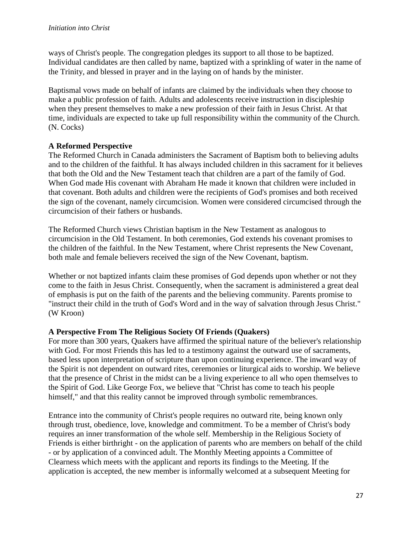ways of Christ's people. The congregation pledges its support to all those to be baptized. Individual candidates are then called by name, baptized with a sprinkling of water in the name of the Trinity, and blessed in prayer and in the laying on of hands by the minister.

Baptismal vows made on behalf of infants are claimed by the individuals when they choose to make a public profession of faith. Adults and adolescents receive instruction in discipleship when they present themselves to make a new profession of their faith in Jesus Christ. At that time, individuals are expected to take up full responsibility within the community of the Church. (N. Cocks)

## **A Reformed Perspective**

The Reformed Church in Canada administers the Sacrament of Baptism both to believing adults and to the children of the faithful. It has always included children in this sacrament for it believes that both the Old and the New Testament teach that children are a part of the family of God. When God made His covenant with Abraham He made it known that children were included in that covenant. Both adults and children were the recipients of God's promises and both received the sign of the covenant, namely circumcision. Women were considered circumcised through the circumcision of their fathers or husbands.

The Reformed Church views Christian baptism in the New Testament as analogous to circumcision in the Old Testament. In both ceremonies, God extends his covenant promises to the children of the faithful. In the New Testament, where Christ represents the New Covenant, both male and female believers received the sign of the New Covenant, baptism.

Whether or not baptized infants claim these promises of God depends upon whether or not they come to the faith in Jesus Christ. Consequently, when the sacrament is administered a great deal of emphasis is put on the faith of the parents and the believing community. Parents promise to "instruct their child in the truth of God's Word and in the way of salvation through Jesus Christ." (W Kroon)

#### **A Perspective From The Religious Society Of Friends (Quakers)**

For more than 300 years, Quakers have affirmed the spiritual nature of the believer's relationship with God. For most Friends this has led to a testimony against the outward use of sacraments, based less upon interpretation of scripture than upon continuing experience. The inward way of the Spirit is not dependent on outward rites, ceremonies or liturgical aids to worship. We believe that the presence of Christ in the midst can be a living experience to all who open themselves to the Spirit of God. Like George Fox, we believe that "Christ has come to teach his people himself," and that this reality cannot be improved through symbolic remembrances.

Entrance into the community of Christ's people requires no outward rite, being known only through trust, obedience, love, knowledge and commitment. To be a member of Christ's body requires an inner transformation of the whole self. Membership in the Religious Society of Friends is either birthright - on the application of parents who are members on behalf of the child - or by application of a convinced adult. The Monthly Meeting appoints a Committee of Clearness which meets with the applicant and reports its findings to the Meeting. If the application is accepted, the new member is informally welcomed at a subsequent Meeting for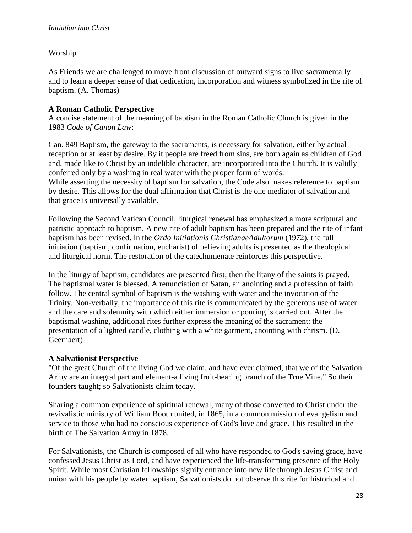Worship.

As Friends we are challenged to move from discussion of outward signs to live sacramentally and to learn a deeper sense of that dedication, incorporation and witness symbolized in the rite of baptism. (A. Thomas)

# **A Roman Catholic Perspective**

A concise statement of the meaning of baptism in the Roman Catholic Church is given in the 1983 *Code of Canon Law*:

Can. 849 Baptism, the gateway to the sacraments, is necessary for salvation, either by actual reception or at least by desire. By it people are freed from sins, are born again as children of God and, made like to Christ by an indelible character, are incorporated into the Church. It is validly conferred only by a washing in real water with the proper form of words.

While asserting the necessity of baptism for salvation, the Code also makes reference to baptism by desire. This allows for the dual affirmation that Christ is the one mediator of salvation and that grace is universally available.

Following the Second Vatican Council, liturgical renewal has emphasized a more scriptural and patristic approach to baptism. A new rite of adult baptism has been prepared and the rite of infant baptism has been revised. In the *Ordo Initiationis ChristianaeAdultorum* (1972), the full initiation (baptism, confirmation, eucharist) of believing adults is presented as the theological and liturgical norm. The restoration of the catechumenate reinforces this perspective.

In the liturgy of baptism, candidates are presented first; then the litany of the saints is prayed. The baptismal water is blessed. A renunciation of Satan, an anointing and a profession of faith follow. The central symbol of baptism is the washing with water and the invocation of the Trinity. Non-verbally, the importance of this rite is communicated by the generous use of water and the care and solemnity with which either immersion or pouring is carried out. After the baptismal washing, additional rites further express the meaning of the sacrament: the presentation of a lighted candle, clothing with a white garment, anointing with chrism. (D. Geernaert)

# **A Salvationist Perspective**

"Of the great Church of the living God we claim, and have ever claimed, that we of the Salvation Army are an integral part and element-a living fruit-bearing branch of the True Vine." So their founders taught; so Salvationists claim today.

Sharing a common experience of spiritual renewal, many of those converted to Christ under the revivalistic ministry of William Booth united, in 1865, in a common mission of evangelism and service to those who had no conscious experience of God's love and grace. This resulted in the birth of The Salvation Army in 1878.

For Salvationists, the Church is composed of all who have responded to God's saving grace, have confessed Jesus Christ as Lord, and have experienced the life-transforming presence of the Holy Spirit. While most Christian fellowships signify entrance into new life through Jesus Christ and union with his people by water baptism, Salvationists do not observe this rite for historical and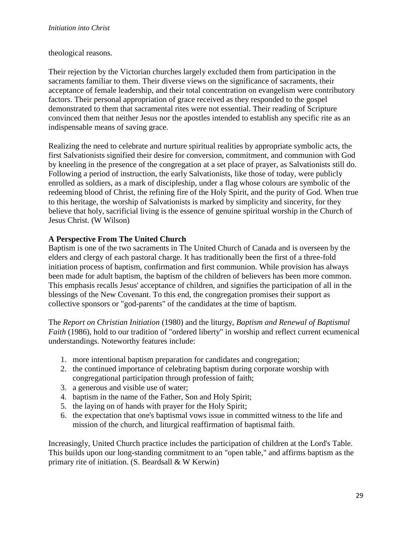#### theological reasons.

Their rejection by the Victorian churches largely excluded them from participation in the sacraments familiar to them. Their diverse views on the significance of sacraments, their acceptance of female leadership, and their total concentration on evangelism were contributory factors. Their personal appropriation of grace received as they responded to the gospel demonstrated to them that sacramental rites were not essential. Their reading of Scripture convinced them that neither Jesus nor the apostles intended to establish any specific rite as an indispensable means of saving grace.

Realizing the need to celebrate and nurture spiritual realities by appropriate symbolic acts, the first Salvationists signified their desire for conversion, commitment, and communion with God by kneeling in the presence of the congregation at a set place of prayer, as Salvationists still do. Following a period of instruction, the early Salvationists, like those of today, were publicly enrolled as soldiers, as a mark of discipleship, under a flag whose colours are symbolic of the redeeming blood of Christ, the refining fire of the Holy Spirit, and the purity of God. When true to this heritage, the worship of Salvationists is marked by simplicity and sincerity, for they believe that holy, sacrificial living is the essence of genuine spiritual worship in the Church of Jesus Christ. (W Wilson)

#### **A Perspective From The United Church**

Baptism is one of the two sacraments in The United Church of Canada and is overseen by the elders and clergy of each pastoral charge. It has traditionally been the first of a three-fold initiation process of baptism, confirmation and first communion. While provision has always been made for adult baptism, the baptism of the children of believers has been more common. This emphasis recalls Jesus' acceptance of children, and signifies the participation of all in the blessings of the New Covenant. To this end, the congregation promises their support as collective sponsors or "god-parents" of the candidates at the time of baptism.

The *Report on Christian Initiation* (1980) and the liturgy, *Baptism and Renewal of Baptismal Faith* (1986), hold to our tradition of "ordered liberty" in worship and reflect current ecumenical understandings. Noteworthy features include:

- 1. more intentional baptism preparation for candidates and congregation;
- 2. the continued importance of celebrating baptism during corporate worship with congregational participation through profession of faith;
- 3. a generous and visible use of water;
- 4. baptism in the name of the Father, Son and Holy Spirit;
- 5. the laying on of hands with prayer for the Holy Spirit;
- 6. the expectation that one's baptismal vows issue in committed witness to the life and mission of the church, and liturgical reaffirmation of baptismal faith.

Increasingly, United Church practice includes the participation of children at the Lord's Table. This builds upon our long-standing commitment to an "open table," and affirms baptism as the primary rite of initiation. (S. Beardsall & W Kerwin)